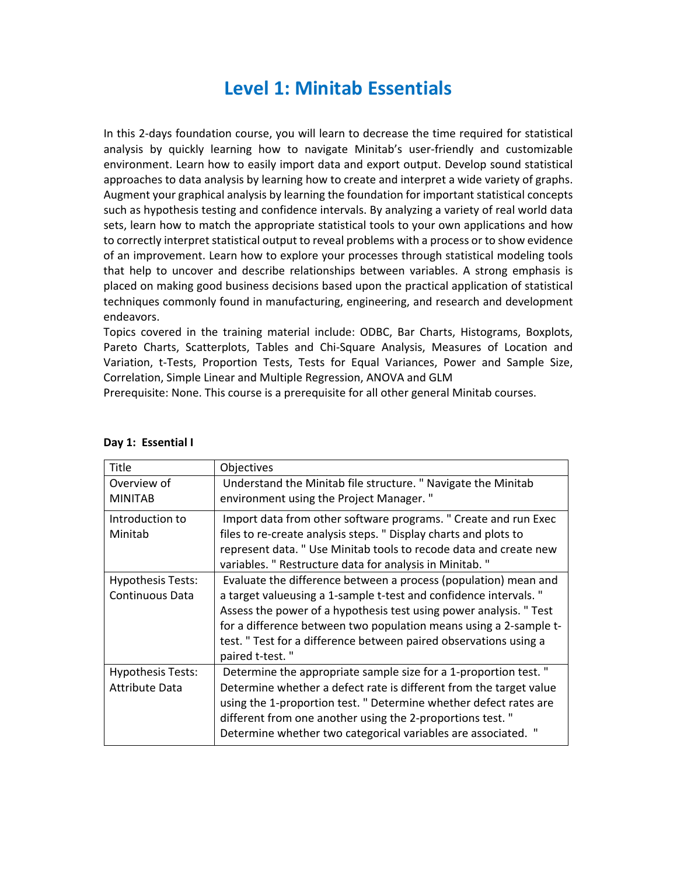## **Level 1: Minitab Essentials**

In this 2-days foundation course, you will learn to decrease the time required for statistical analysis by quickly learning how to navigate Minitab's user-friendly and customizable environment. Learn how to easily import data and export output. Develop sound statistical approaches to data analysis by learning how to create and interpret a wide variety of graphs. Augment your graphical analysis by learning the foundation for important statistical concepts such as hypothesis testing and confidence intervals. By analyzing a variety of real world data sets, learn how to match the appropriate statistical tools to your own applications and how to correctly interpret statistical output to reveal problems with a process or to show evidence of an improvement. Learn how to explore your processes through statistical modeling tools that help to uncover and describe relationships between variables. A strong emphasis is placed on making good business decisions based upon the practical application of statistical techniques commonly found in manufacturing, engineering, and research and development endeavors.

Topics covered in the training material include: ODBC, Bar Charts, Histograms, Boxplots, Pareto Charts, Scatterplots, Tables and Chi-Square Analysis, Measures of Location and Variation, t-Tests, Proportion Tests, Tests for Equal Variances, Power and Sample Size, Correlation, Simple Linear and Multiple Regression, ANOVA and GLM

Prerequisite: None. This course is a prerequisite for all other general Minitab courses.

| Title                    | Objectives                                                         |
|--------------------------|--------------------------------------------------------------------|
| Overview of              | Understand the Minitab file structure. " Navigate the Minitab      |
| <b>MINITAB</b>           | environment using the Project Manager."                            |
| Introduction to          | Import data from other software programs. " Create and run Exec    |
| Minitab                  | files to re-create analysis steps. " Display charts and plots to   |
|                          | represent data. " Use Minitab tools to recode data and create new  |
|                          | variables. " Restructure data for analysis in Minitab. "           |
| <b>Hypothesis Tests:</b> | Evaluate the difference between a process (population) mean and    |
| Continuous Data          | a target valueusing a 1-sample t-test and confidence intervals."   |
|                          | Assess the power of a hypothesis test using power analysis. " Test |
|                          | for a difference between two population means using a 2-sample t-  |
|                          | test. " Test for a difference between paired observations using a  |
|                          | paired t-test."                                                    |
| <b>Hypothesis Tests:</b> | Determine the appropriate sample size for a 1-proportion test. "   |
| <b>Attribute Data</b>    | Determine whether a defect rate is different from the target value |
|                          | using the 1-proportion test. " Determine whether defect rates are  |
|                          | different from one another using the 2-proportions test."          |
|                          | Determine whether two categorical variables are associated. "      |
|                          |                                                                    |

#### **Day 1: Essential I**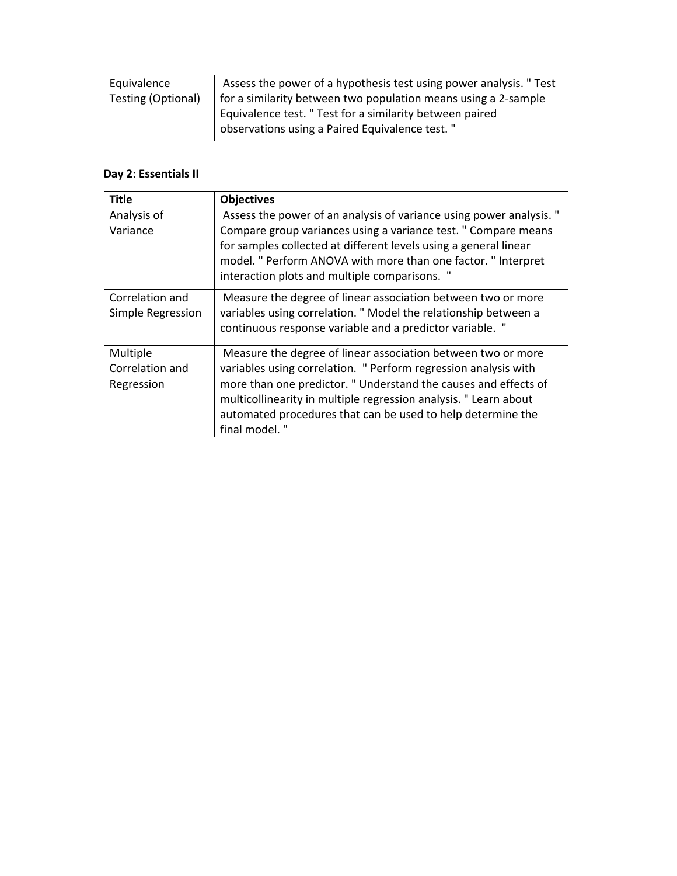| Equivalence        | Assess the power of a hypothesis test using power analysis. " Test |
|--------------------|--------------------------------------------------------------------|
| Testing (Optional) | for a similarity between two population means using a 2-sample     |
|                    | Equivalence test. " Test for a similarity between paired           |
|                    | observations using a Paired Equivalence test."                     |

### **Day 2: Essentials II**

| Title                                     | <b>Objectives</b>                                                                                                                                                                                                                                                                                                                                     |
|-------------------------------------------|-------------------------------------------------------------------------------------------------------------------------------------------------------------------------------------------------------------------------------------------------------------------------------------------------------------------------------------------------------|
| Analysis of                               | Assess the power of an analysis of variance using power analysis. "                                                                                                                                                                                                                                                                                   |
| Variance                                  | Compare group variances using a variance test. " Compare means<br>for samples collected at different levels using a general linear<br>model. " Perform ANOVA with more than one factor. " Interpret<br>interaction plots and multiple comparisons. "                                                                                                  |
| Correlation and<br>Simple Regression      | Measure the degree of linear association between two or more<br>variables using correlation. " Model the relationship between a<br>continuous response variable and a predictor variable. "                                                                                                                                                           |
| Multiple<br>Correlation and<br>Regression | Measure the degree of linear association between two or more<br>variables using correlation. " Perform regression analysis with<br>more than one predictor. " Understand the causes and effects of<br>multicollinearity in multiple regression analysis. "Learn about<br>automated procedures that can be used to help determine the<br>final model." |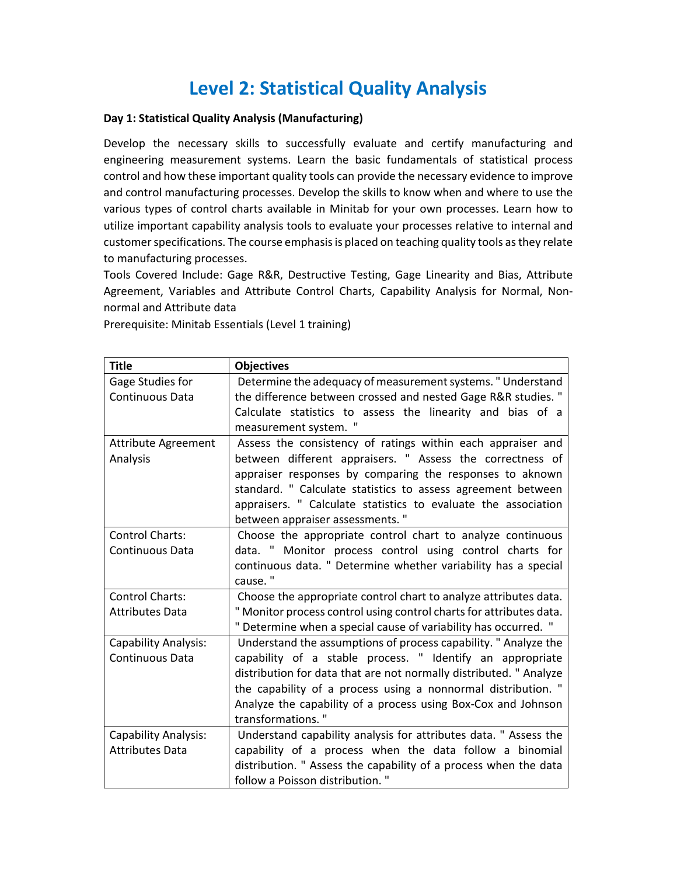# **Level 2: Statistical Quality Analysis**

#### **Day 1: Statistical Quality Analysis (Manufacturing)**

Develop the necessary skills to successfully evaluate and certify manufacturing and engineering measurement systems. Learn the basic fundamentals of statistical process control and how these important quality tools can provide the necessary evidence to improve and control manufacturing processes. Develop the skills to know when and where to use the various types of control charts available in Minitab for your own processes. Learn how to utilize important capability analysis tools to evaluate your processes relative to internal and customer specifications. The course emphasis is placed on teaching quality tools as they relate to manufacturing processes.

Tools Covered Include: Gage R&R, Destructive Testing, Gage Linearity and Bias, Attribute Agreement, Variables and Attribute Control Charts, Capability Analysis for Normal, Nonnormal and Attribute data

Prerequisite: Minitab Essentials (Level 1 training)

| <b>Title</b>                | <b>Objectives</b>                                                   |
|-----------------------------|---------------------------------------------------------------------|
| Gage Studies for            | Determine the adequacy of measurement systems." Understand          |
| Continuous Data             | the difference between crossed and nested Gage R&R studies."        |
|                             | Calculate statistics to assess the linearity and bias of a          |
|                             | measurement system. "                                               |
| <b>Attribute Agreement</b>  | Assess the consistency of ratings within each appraiser and         |
| Analysis                    | between different appraisers. " Assess the correctness of           |
|                             | appraiser responses by comparing the responses to aknown            |
|                             | standard. " Calculate statistics to assess agreement between        |
|                             | appraisers. " Calculate statistics to evaluate the association      |
|                             | between appraiser assessments."                                     |
| Control Charts:             | Choose the appropriate control chart to analyze continuous          |
| Continuous Data             | data. " Monitor process control using control charts for            |
|                             | continuous data. " Determine whether variability has a special      |
|                             | cause."                                                             |
| Control Charts:             | Choose the appropriate control chart to analyze attributes data.    |
| <b>Attributes Data</b>      | " Monitor process control using control charts for attributes data. |
|                             | " Determine when a special cause of variability has occurred. "     |
| <b>Capability Analysis:</b> | Understand the assumptions of process capability. " Analyze the     |
| Continuous Data             | capability of a stable process. " Identify an appropriate           |
|                             | distribution for data that are not normally distributed. " Analyze  |
|                             | the capability of a process using a nonnormal distribution. "       |
|                             | Analyze the capability of a process using Box-Cox and Johnson       |
|                             | transformations."                                                   |
| Capability Analysis:        | Understand capability analysis for attributes data. " Assess the    |
| <b>Attributes Data</b>      | capability of a process when the data follow a binomial             |
|                             | distribution. " Assess the capability of a process when the data    |
|                             | follow a Poisson distribution. "                                    |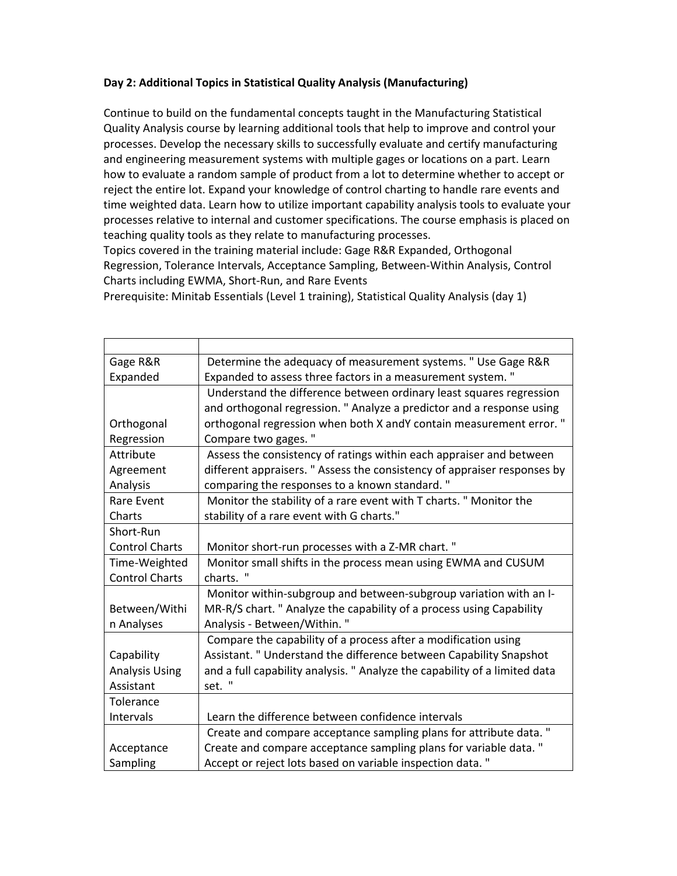### **Day 2: Additional Topics in Statistical Quality Analysis (Manufacturing)**

Continue to build on the fundamental concepts taught in the Manufacturing Statistical Quality Analysis course by learning additional tools that help to improve and control your processes. Develop the necessary skills to successfully evaluate and certify manufacturing and engineering measurement systems with multiple gages or locations on a part. Learn how to evaluate a random sample of product from a lot to determine whether to accept or reject the entire lot. Expand your knowledge of control charting to handle rare events and time weighted data. Learn how to utilize important capability analysis tools to evaluate your processes relative to internal and customer specifications. The course emphasis is placed on teaching quality tools as they relate to manufacturing processes.

Topics covered in the training material include: Gage R&R Expanded, Orthogonal Regression, Tolerance Intervals, Acceptance Sampling, Between-Within Analysis, Control Charts including EWMA, Short-Run, and Rare Events

Prerequisite: Minitab Essentials (Level 1 training), Statistical Quality Analysis (day 1)

| Gage R&R              | Determine the adequacy of measurement systems. " Use Gage R&R              |
|-----------------------|----------------------------------------------------------------------------|
| Expanded              | Expanded to assess three factors in a measurement system."                 |
|                       | Understand the difference between ordinary least squares regression        |
|                       | and orthogonal regression. " Analyze a predictor and a response using      |
| Orthogonal            | orthogonal regression when both X andY contain measurement error."         |
| Regression            | Compare two gages."                                                        |
| Attribute             | Assess the consistency of ratings within each appraiser and between        |
| Agreement             | different appraisers. " Assess the consistency of appraiser responses by   |
| Analysis              | comparing the responses to a known standard."                              |
| <b>Rare Event</b>     | Monitor the stability of a rare event with T charts. " Monitor the         |
| Charts                | stability of a rare event with G charts."                                  |
| Short-Run             |                                                                            |
| <b>Control Charts</b> | Monitor short-run processes with a Z-MR chart."                            |
| Time-Weighted         | Monitor small shifts in the process mean using EWMA and CUSUM              |
| <b>Control Charts</b> | charts. "                                                                  |
|                       | Monitor within-subgroup and between-subgroup variation with an I-          |
| Between/Withi         | MR-R/S chart. " Analyze the capability of a process using Capability       |
| n Analyses            | Analysis - Between/Within."                                                |
|                       | Compare the capability of a process after a modification using             |
| Capability            | Assistant. " Understand the difference between Capability Snapshot         |
| <b>Analysis Using</b> | and a full capability analysis. " Analyze the capability of a limited data |
| Assistant             | set. "                                                                     |
| Tolerance             |                                                                            |
| Intervals             | Learn the difference between confidence intervals                          |
|                       | Create and compare acceptance sampling plans for attribute data."          |
| Acceptance            | Create and compare acceptance sampling plans for variable data."           |
| Sampling              | Accept or reject lots based on variable inspection data."                  |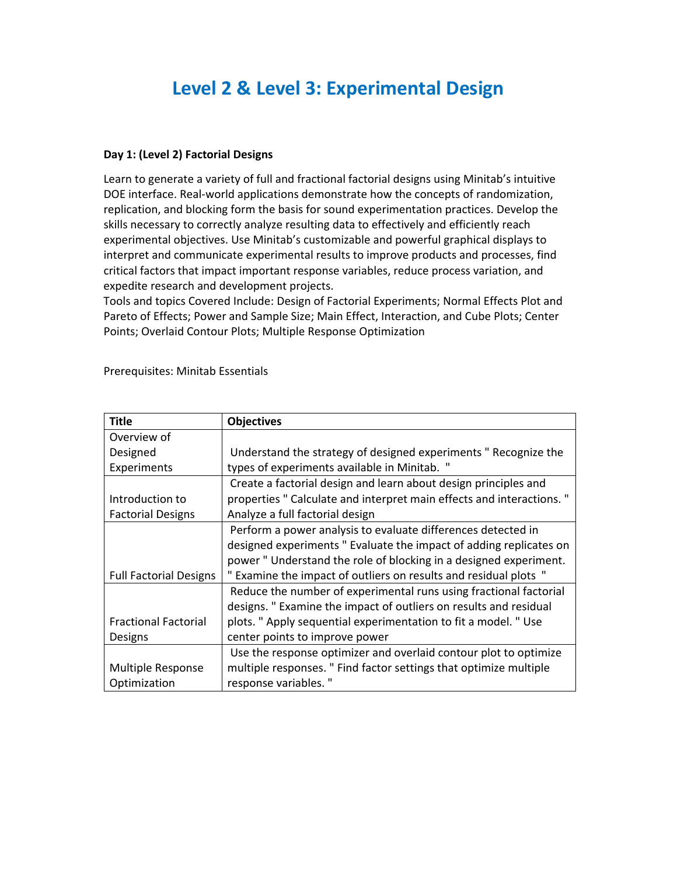## **Level 2 & Level 3: Experimental Design**

#### **Day 1: (Level 2) Factorial Designs**

Learn to generate a variety of full and fractional factorial designs using Minitab's intuitive DOE interface. Real-world applications demonstrate how the concepts of randomization, replication, and blocking form the basis for sound experimentation practices. Develop the skills necessary to correctly analyze resulting data to effectively and efficiently reach experimental objectives. Use Minitab's customizable and powerful graphical displays to interpret and communicate experimental results to improve products and processes, find critical factors that impact important response variables, reduce process variation, and expedite research and development projects.

Tools and topics Covered Include: Design of Factorial Experiments; Normal Effects Plot and Pareto of Effects; Power and Sample Size; Main Effect, Interaction, and Cube Plots; Center Points; Overlaid Contour Plots; Multiple Response Optimization

| <b>Title</b>                  | <b>Objectives</b>                                                     |
|-------------------------------|-----------------------------------------------------------------------|
| Overview of                   |                                                                       |
| Designed                      | Understand the strategy of designed experiments " Recognize the       |
| Experiments                   | types of experiments available in Minitab. "                          |
|                               | Create a factorial design and learn about design principles and       |
| Introduction to               | properties " Calculate and interpret main effects and interactions. " |
| <b>Factorial Designs</b>      | Analyze a full factorial design                                       |
|                               | Perform a power analysis to evaluate differences detected in          |
|                               | designed experiments " Evaluate the impact of adding replicates on    |
|                               | power "Understand the role of blocking in a designed experiment.      |
| <b>Full Factorial Designs</b> | Examine the impact of outliers on results and residual plots "        |
|                               | Reduce the number of experimental runs using fractional factorial     |
|                               | designs. " Examine the impact of outliers on results and residual     |
| <b>Fractional Factorial</b>   | plots. " Apply sequential experimentation to fit a model. " Use       |
| Designs                       | center points to improve power                                        |
|                               | Use the response optimizer and overlaid contour plot to optimize      |
| Multiple Response             | multiple responses. " Find factor settings that optimize multiple     |
| Optimization                  | response variables."                                                  |

Prerequisites: Minitab Essentials